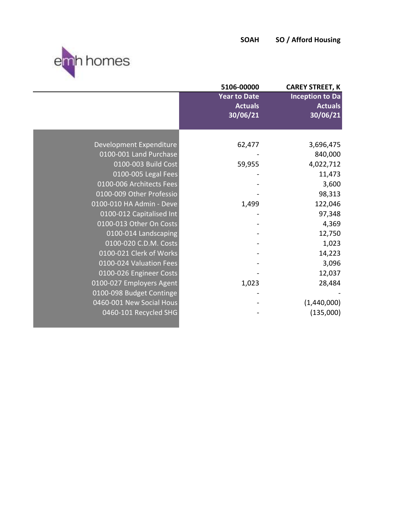

|                          | 5106-00000                                        | <b>CAREY STREET, K</b>                               |
|--------------------------|---------------------------------------------------|------------------------------------------------------|
|                          | <b>Year to Date</b><br><b>Actuals</b><br>30/06/21 | <b>Inception to Da</b><br><b>Actuals</b><br>30/06/21 |
|                          |                                                   |                                                      |
| Development Expenditure  | 62,477                                            | 3,696,475                                            |
| 0100-001 Land Purchase   |                                                   | 840,000                                              |
| 0100-003 Build Cost      | 59,955                                            | 4,022,712                                            |
| 0100-005 Legal Fees      |                                                   | 11,473                                               |
| 0100-006 Architects Fees |                                                   | 3,600                                                |
| 0100-009 Other Professio |                                                   | 98,313                                               |
| 0100-010 HA Admin - Deve | 1,499                                             | 122,046                                              |
| 0100-012 Capitalised Int |                                                   | 97,348                                               |
| 0100-013 Other On Costs  |                                                   | 4,369                                                |
| 0100-014 Landscaping     |                                                   | 12,750                                               |
| 0100-020 C.D.M. Costs    |                                                   | 1,023                                                |
| 0100-021 Clerk of Works  |                                                   | 14,223                                               |
| 0100-024 Valuation Fees  |                                                   | 3,096                                                |
| 0100-026 Engineer Costs  |                                                   | 12,037                                               |
| 0100-027 Employers Agent | 1,023                                             | 28,484                                               |
| 0100-098 Budget Continge |                                                   |                                                      |
| 0460-001 New Social Hous |                                                   | (1,440,000)                                          |
| 0460-101 Recycled SHG    |                                                   | (135,000)                                            |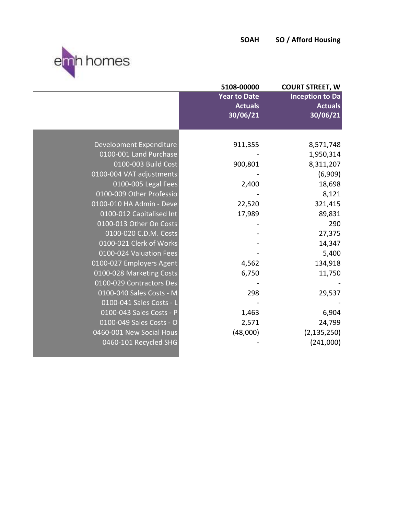

|                          | 5108-00000          | <b>COURT STREET, W</b> |
|--------------------------|---------------------|------------------------|
|                          | <b>Year to Date</b> | <b>Inception to Da</b> |
|                          | <b>Actuals</b>      | <b>Actuals</b>         |
|                          | 30/06/21            | 30/06/21               |
|                          |                     |                        |
| Development Expenditure  | 911,355             | 8,571,748              |
| 0100-001 Land Purchase   |                     | 1,950,314              |
| 0100-003 Build Cost      | 900,801             | 8,311,207              |
| 0100-004 VAT adjustments |                     | (6,909)                |
| 0100-005 Legal Fees      | 2,400               | 18,698                 |
| 0100-009 Other Professio |                     | 8,121                  |
| 0100-010 HA Admin - Deve | 22,520              | 321,415                |
| 0100-012 Capitalised Int | 17,989              | 89,831                 |
| 0100-013 Other On Costs  |                     | 290                    |
| 0100-020 C.D.M. Costs    |                     | 27,375                 |
| 0100-021 Clerk of Works  |                     | 14,347                 |
| 0100-024 Valuation Fees  |                     | 5,400                  |
| 0100-027 Employers Agent | 4,562               | 134,918                |
| 0100-028 Marketing Costs | 6,750               | 11,750                 |
| 0100-029 Contractors Des |                     |                        |
| 0100-040 Sales Costs - M | 298                 | 29,537                 |
| 0100-041 Sales Costs - L |                     |                        |
| 0100-043 Sales Costs - P | 1,463               | 6,904                  |
| 0100-049 Sales Costs - O | 2,571               | 24,799                 |
| 0460-001 New Social Hous | (48,000)            | (2, 135, 250)          |
| 0460-101 Recycled SHG    |                     | (241,000)              |
|                          |                     |                        |
|                          |                     |                        |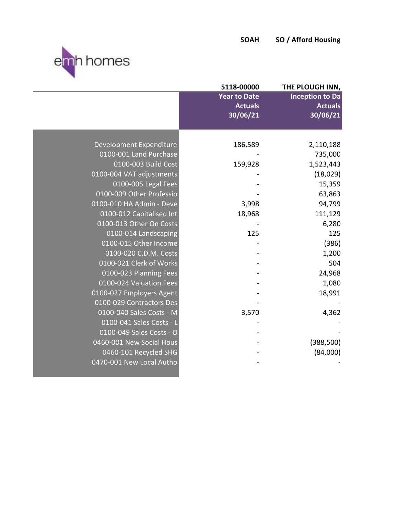

|                          | 5118-00000          | THE PLOUGH INN,        |
|--------------------------|---------------------|------------------------|
|                          | <b>Year to Date</b> | <b>Inception to Da</b> |
|                          | <b>Actuals</b>      | <b>Actuals</b>         |
|                          | 30/06/21            | 30/06/21               |
|                          |                     |                        |
|                          |                     |                        |
| Development Expenditure  | 186,589             | 2,110,188              |
| 0100-001 Land Purchase   |                     | 735,000                |
| 0100-003 Build Cost      | 159,928             | 1,523,443              |
| 0100-004 VAT adjustments |                     | (18,029)               |
| 0100-005 Legal Fees      |                     | 15,359                 |
| 0100-009 Other Professio |                     | 63,863                 |
| 0100-010 HA Admin - Deve | 3,998               | 94,799                 |
| 0100-012 Capitalised Int | 18,968              | 111,129                |
| 0100-013 Other On Costs  |                     | 6,280                  |
| 0100-014 Landscaping     | 125                 | 125                    |
| 0100-015 Other Income    |                     | (386)                  |
| 0100-020 C.D.M. Costs    |                     | 1,200                  |
| 0100-021 Clerk of Works  |                     | 504                    |
| 0100-023 Planning Fees   |                     | 24,968                 |
| 0100-024 Valuation Fees  |                     | 1,080                  |
| 0100-027 Employers Agent |                     | 18,991                 |
| 0100-029 Contractors Des |                     |                        |
| 0100-040 Sales Costs - M | 3,570               | 4,362                  |
| 0100-041 Sales Costs - L |                     |                        |
| 0100-049 Sales Costs - O |                     |                        |
| 0460-001 New Social Hous |                     | (388, 500)             |
| 0460-101 Recycled SHG    |                     | (84,000)               |
| 0470-001 New Local Autho |                     |                        |
|                          |                     |                        |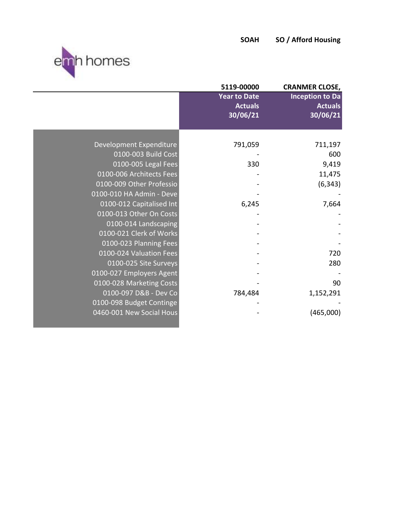

the contract of the contract of the contract of the contract of the contract of

|                          | 5119-00000                                        | <b>CRANMER CLOSE,</b>                                |
|--------------------------|---------------------------------------------------|------------------------------------------------------|
|                          | <b>Year to Date</b><br><b>Actuals</b><br>30/06/21 | <b>Inception to Da</b><br><b>Actuals</b><br>30/06/21 |
|                          |                                                   |                                                      |
| Development Expenditure  | 791,059                                           | 711,197                                              |
| 0100-003 Build Cost      |                                                   | 600                                                  |
| 0100-005 Legal Fees      | 330                                               | 9,419                                                |
| 0100-006 Architects Fees |                                                   | 11,475                                               |
| 0100-009 Other Professio |                                                   | (6, 343)                                             |
| 0100-010 HA Admin - Deve |                                                   |                                                      |
| 0100-012 Capitalised Int | 6,245                                             | 7,664                                                |
| 0100-013 Other On Costs  |                                                   |                                                      |
| 0100-014 Landscaping     |                                                   |                                                      |
| 0100-021 Clerk of Works  |                                                   |                                                      |
| 0100-023 Planning Fees   |                                                   |                                                      |
| 0100-024 Valuation Fees  |                                                   | 720                                                  |
| 0100-025 Site Surveys    |                                                   | 280                                                  |
| 0100-027 Employers Agent |                                                   |                                                      |
| 0100-028 Marketing Costs |                                                   | 90                                                   |
| 0100-097 D&B - Dev Co    | 784,484                                           | 1,152,291                                            |
| 0100-098 Budget Continge |                                                   |                                                      |
| 0460-001 New Social Hous |                                                   | (465,000)                                            |
|                          |                                                   |                                                      |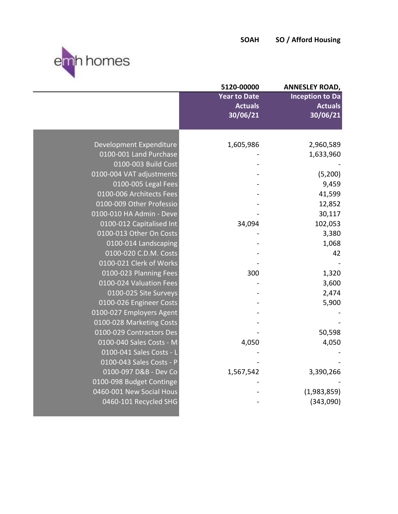

|                          | 5120-00000          | <b>ANNESLEY ROAD,</b>  |
|--------------------------|---------------------|------------------------|
|                          | <b>Year to Date</b> | <b>Inception to Da</b> |
|                          | <b>Actuals</b>      | <b>Actuals</b>         |
|                          | 30/06/21            | 30/06/21               |
|                          |                     |                        |
|                          |                     |                        |
| Development Expenditure  | 1,605,986           | 2,960,589              |
| 0100-001 Land Purchase   |                     | 1,633,960              |
| 0100-003 Build Cost      |                     |                        |
| 0100-004 VAT adjustments |                     | (5,200)                |
| 0100-005 Legal Fees      |                     | 9,459                  |
| 0100-006 Architects Fees |                     | 41,599                 |
| 0100-009 Other Professio |                     | 12,852                 |
| 0100-010 HA Admin - Deve |                     | 30,117                 |
| 0100-012 Capitalised Int | 34,094              | 102,053                |
| 0100-013 Other On Costs  |                     | 3,380                  |
| 0100-014 Landscaping     |                     | 1,068                  |
| 0100-020 C.D.M. Costs    |                     | 42                     |
| 0100-021 Clerk of Works  |                     |                        |
| 0100-023 Planning Fees   | 300                 | 1,320                  |
| 0100-024 Valuation Fees  |                     | 3,600                  |
| 0100-025 Site Surveys    |                     | 2,474                  |
| 0100-026 Engineer Costs  |                     | 5,900                  |
| 0100-027 Employers Agent |                     |                        |
| 0100-028 Marketing Costs |                     |                        |
| 0100-029 Contractors Des |                     | 50,598                 |
| 0100-040 Sales Costs - M | 4,050               | 4,050                  |
| 0100-041 Sales Costs - L |                     |                        |
| 0100-043 Sales Costs - P |                     |                        |
| 0100-097 D&B - Dev Co    | 1,567,542           | 3,390,266              |
| 0100-098 Budget Continge |                     |                        |
| 0460-001 New Social Hous |                     | (1,983,859)            |
| 0460-101 Recycled SHG    |                     | (343,090)              |
|                          |                     |                        |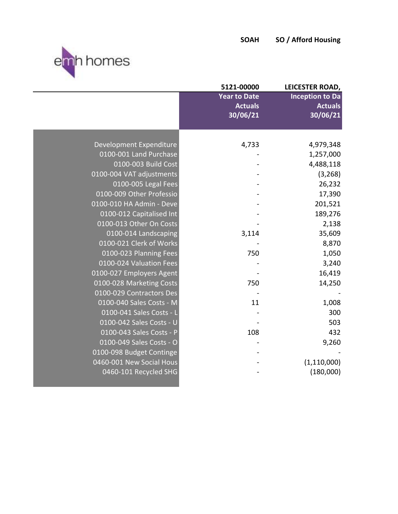

|                          | 5121-00000          | LEICESTER ROAD,        |
|--------------------------|---------------------|------------------------|
|                          | <b>Year to Date</b> | <b>Inception to Da</b> |
|                          | <b>Actuals</b>      | <b>Actuals</b>         |
|                          | 30/06/21            | 30/06/21               |
|                          |                     |                        |
|                          |                     |                        |
| Development Expenditure  | 4,733               | 4,979,348              |
| 0100-001 Land Purchase   |                     | 1,257,000              |
| 0100-003 Build Cost      |                     | 4,488,118              |
| 0100-004 VAT adjustments |                     | (3, 268)               |
| 0100-005 Legal Fees      |                     | 26,232                 |
| 0100-009 Other Professio |                     | 17,390                 |
| 0100-010 HA Admin - Deve |                     | 201,521                |
| 0100-012 Capitalised Int |                     | 189,276                |
| 0100-013 Other On Costs  |                     | 2,138                  |
| 0100-014 Landscaping     | 3,114               | 35,609                 |
| 0100-021 Clerk of Works  |                     | 8,870                  |
| 0100-023 Planning Fees   | 750                 | 1,050                  |
| 0100-024 Valuation Fees  |                     | 3,240                  |
| 0100-027 Employers Agent |                     | 16,419                 |
| 0100-028 Marketing Costs | 750                 | 14,250                 |
| 0100-029 Contractors Des |                     |                        |
| 0100-040 Sales Costs - M | 11                  | 1,008                  |
| 0100-041 Sales Costs - L |                     | 300                    |
| 0100-042 Sales Costs - U |                     | 503                    |
| 0100-043 Sales Costs - P | 108                 | 432                    |
| 0100-049 Sales Costs - O |                     | 9,260                  |
| 0100-098 Budget Continge |                     |                        |
| 0460-001 New Social Hous |                     | (1, 110, 000)          |
| 0460-101 Recycled SHG    |                     | (180,000)              |
|                          |                     |                        |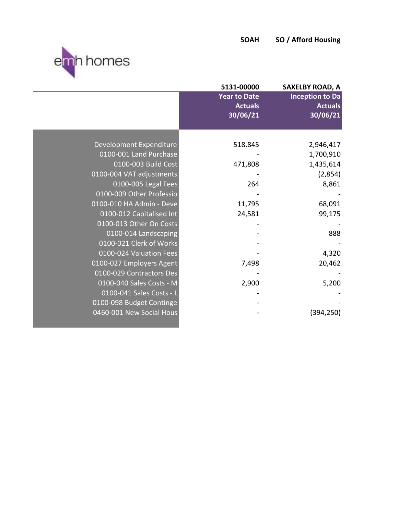

| 5131-00000          | <b>SAXELBY ROAD, A</b>                                                               |
|---------------------|--------------------------------------------------------------------------------------|
| <b>Year to Date</b> | <b>Inception to Da</b>                                                               |
|                     | <b>Actuals</b>                                                                       |
|                     | 30/06/21                                                                             |
|                     |                                                                                      |
|                     | 2,946,417                                                                            |
|                     | 1,700,910                                                                            |
|                     | 1,435,614                                                                            |
|                     | (2,854)                                                                              |
|                     | 8,861                                                                                |
|                     |                                                                                      |
|                     | 68,091                                                                               |
|                     |                                                                                      |
|                     | 99,175                                                                               |
|                     |                                                                                      |
|                     | 888                                                                                  |
|                     |                                                                                      |
|                     | 4,320                                                                                |
|                     | 20,462                                                                               |
|                     |                                                                                      |
| 2,900               | 5,200                                                                                |
|                     |                                                                                      |
|                     |                                                                                      |
|                     | (394, 250)                                                                           |
|                     |                                                                                      |
|                     | <b>Actuals</b><br>30/06/21<br>518,845<br>471,808<br>264<br>11,795<br>24,581<br>7,498 |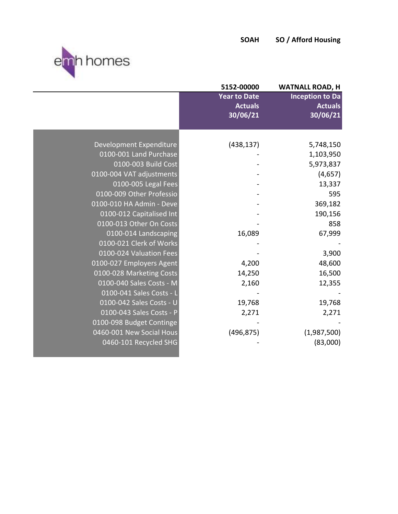

|                          | 5152-00000          | <b>WATNALL ROAD, H</b> |
|--------------------------|---------------------|------------------------|
|                          | <b>Year to Date</b> | <b>Inception to Da</b> |
|                          | <b>Actuals</b>      | <b>Actuals</b>         |
|                          | 30/06/21            | 30/06/21               |
|                          |                     |                        |
| Development Expenditure  | (438, 137)          | 5,748,150              |
| 0100-001 Land Purchase   |                     | 1,103,950              |
| 0100-003 Build Cost      |                     | 5,973,837              |
| 0100-004 VAT adjustments |                     | (4,657)                |
| 0100-005 Legal Fees      |                     | 13,337                 |
| 0100-009 Other Professio |                     | 595                    |
| 0100-010 HA Admin - Deve |                     | 369,182                |
| 0100-012 Capitalised Int |                     | 190,156                |
| 0100-013 Other On Costs  |                     | 858                    |
| 0100-014 Landscaping     | 16,089              | 67,999                 |
| 0100-021 Clerk of Works  |                     |                        |
| 0100-024 Valuation Fees  |                     | 3,900                  |
| 0100-027 Employers Agent | 4,200               | 48,600                 |
| 0100-028 Marketing Costs | 14,250              | 16,500                 |
| 0100-040 Sales Costs - M | 2,160               | 12,355                 |
| 0100-041 Sales Costs - L |                     |                        |
| 0100-042 Sales Costs - U | 19,768              | 19,768                 |
| 0100-043 Sales Costs - P | 2,271               | 2,271                  |
| 0100-098 Budget Continge |                     |                        |
| 0460-001 New Social Hous | (496, 875)          | (1,987,500)            |
| 0460-101 Recycled SHG    |                     | (83,000)               |
|                          |                     |                        |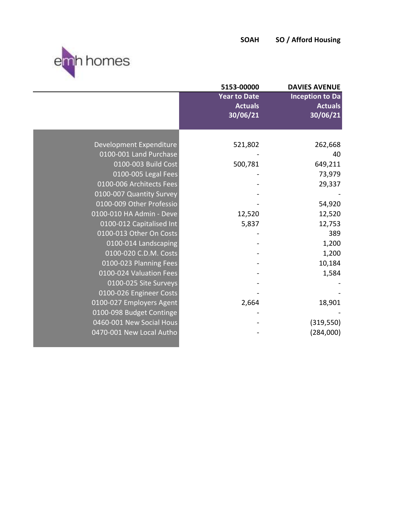



|                          | 5153-00000                                        | <b>DAVIES AVENUE</b>                                 |
|--------------------------|---------------------------------------------------|------------------------------------------------------|
|                          | <b>Year to Date</b><br><b>Actuals</b><br>30/06/21 | <b>Inception to Da</b><br><b>Actuals</b><br>30/06/21 |
|                          |                                                   |                                                      |
| Development Expenditure  | 521,802                                           | 262,668                                              |
| 0100-001 Land Purchase   |                                                   | 40                                                   |
| 0100-003 Build Cost      | 500,781                                           | 649,211                                              |
| 0100-005 Legal Fees      |                                                   | 73,979                                               |
| 0100-006 Architects Fees |                                                   | 29,337                                               |
| 0100-007 Quantity Survey |                                                   |                                                      |
| 0100-009 Other Professio |                                                   | 54,920                                               |
| 0100-010 HA Admin - Deve | 12,520                                            | 12,520                                               |
| 0100-012 Capitalised Int | 5,837                                             | 12,753                                               |
| 0100-013 Other On Costs  |                                                   | 389                                                  |
| 0100-014 Landscaping     |                                                   | 1,200                                                |
| 0100-020 C.D.M. Costs    |                                                   | 1,200                                                |
| 0100-023 Planning Fees   |                                                   | 10,184                                               |
| 0100-024 Valuation Fees  |                                                   | 1,584                                                |
| 0100-025 Site Surveys    |                                                   |                                                      |
| 0100-026 Engineer Costs  |                                                   |                                                      |
| 0100-027 Employers Agent | 2,664                                             | 18,901                                               |
| 0100-098 Budget Continge |                                                   |                                                      |
| 0460-001 New Social Hous |                                                   | (319, 550)                                           |
| 0470-001 New Local Autho |                                                   | (284,000)                                            |
|                          |                                                   |                                                      |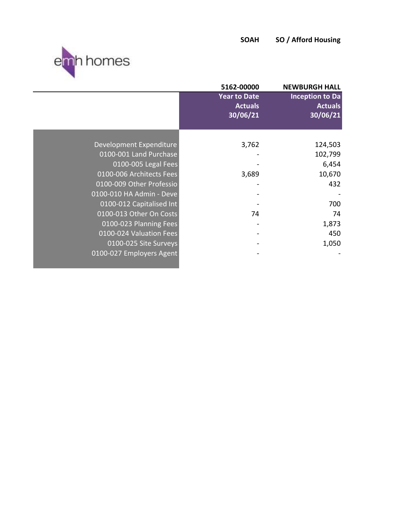

|                          | 5162-00000                                        | <b>NEWBURGH HALL</b>                                 |
|--------------------------|---------------------------------------------------|------------------------------------------------------|
|                          | <b>Year to Date</b><br><b>Actuals</b><br>30/06/21 | <b>Inception to Da</b><br><b>Actuals</b><br>30/06/21 |
|                          |                                                   |                                                      |
| Development Expenditure  | 3,762                                             | 124,503                                              |
| 0100-001 Land Purchase   |                                                   | 102,799                                              |
| 0100-005 Legal Fees      |                                                   | 6,454                                                |
| 0100-006 Architects Fees | 3,689                                             | 10,670                                               |
| 0100-009 Other Professio |                                                   | 432                                                  |
| 0100-010 HA Admin - Deve |                                                   |                                                      |
| 0100-012 Capitalised Int |                                                   | 700                                                  |
| 0100-013 Other On Costs  | 74                                                | 74                                                   |
| 0100-023 Planning Fees   |                                                   | 1,873                                                |
| 0100-024 Valuation Fees  |                                                   | 450                                                  |
| 0100-025 Site Surveys    |                                                   | 1,050                                                |
| 0100-027 Employers Agent |                                                   |                                                      |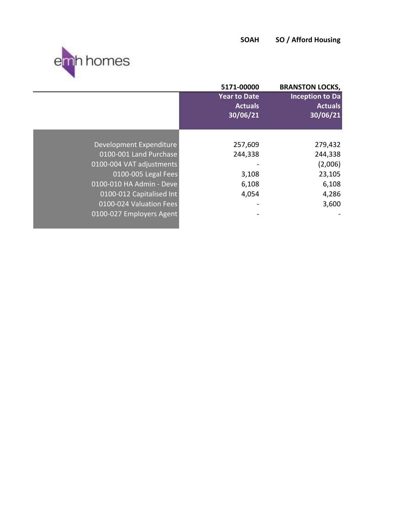

|                          | 5171-00000                                        | <b>BRANSTON LOCKS,</b>                               |
|--------------------------|---------------------------------------------------|------------------------------------------------------|
|                          | <b>Year to Date</b><br><b>Actuals</b><br>30/06/21 | <b>Inception to Da</b><br><b>Actuals</b><br>30/06/21 |
|                          |                                                   |                                                      |
| Development Expenditure  | 257,609                                           | 279,432                                              |
| 0100-001 Land Purchase   | 244,338                                           | 244,338                                              |
| 0100-004 VAT adjustments |                                                   | (2,006)                                              |
| 0100-005 Legal Fees      | 3,108                                             | 23,105                                               |
| 0100-010 HA Admin - Deve | 6,108                                             | 6,108                                                |
| 0100-012 Capitalised Int | 4,054                                             | 4,286                                                |
| 0100-024 Valuation Fees  |                                                   | 3,600                                                |
| 0100-027 Employers Agent |                                                   |                                                      |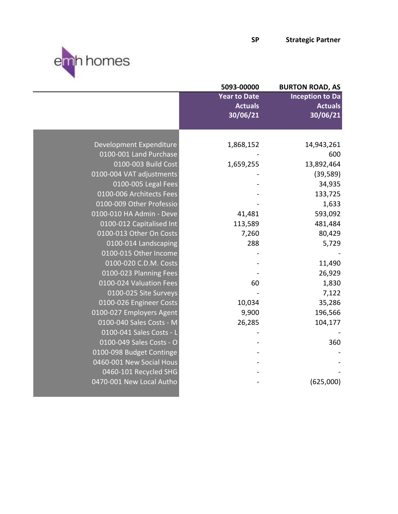



|                          | 5093-00000          | <b>BURTON ROAD, AS</b> |
|--------------------------|---------------------|------------------------|
|                          | <b>Year to Date</b> | <b>Inception to Da</b> |
|                          | <b>Actuals</b>      | <b>Actuals</b>         |
|                          | 30/06/21            | 30/06/21               |
|                          |                     |                        |
| Development Expenditure  | 1,868,152           | 14,943,261             |
| 0100-001 Land Purchase   |                     | 600                    |
| 0100-003 Build Cost      | 1,659,255           | 13,892,464             |
| 0100-004 VAT adjustments |                     | (39, 589)              |
| 0100-005 Legal Fees      |                     | 34,935                 |
| 0100-006 Architects Fees |                     | 133,725                |
| 0100-009 Other Professio |                     | 1,633                  |
| 0100-010 HA Admin - Deve | 41,481              | 593,092                |
| 0100-012 Capitalised Int | 113,589             | 481,484                |
| 0100-013 Other On Costs  | 7,260               | 80,429                 |
| 0100-014 Landscaping     | 288                 | 5,729                  |
| 0100-015 Other Income    |                     |                        |
| 0100-020 C.D.M. Costs    |                     | 11,490                 |
| 0100-023 Planning Fees   |                     | 26,929                 |
| 0100-024 Valuation Fees  | 60                  | 1,830                  |
| 0100-025 Site Surveys    |                     | 7,122                  |
| 0100-026 Engineer Costs  | 10,034              | 35,286                 |
| 0100-027 Employers Agent | 9,900               | 196,566                |
| 0100-040 Sales Costs - M | 26,285              | 104,177                |
| 0100-041 Sales Costs - L |                     |                        |
| 0100-049 Sales Costs - O |                     | 360                    |
| 0100-098 Budget Continge |                     |                        |
| 0460-001 New Social Hous |                     |                        |
| 0460-101 Recycled SHG    |                     |                        |
| 0470-001 New Local Autho |                     | (625,000)              |
|                          |                     |                        |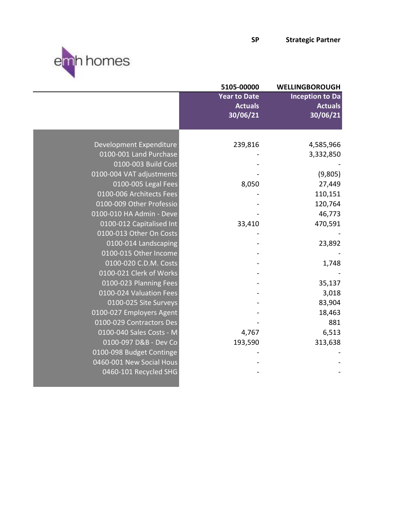



|                          | 5105-00000          | <b>WELLINGBOROUGH</b>  |
|--------------------------|---------------------|------------------------|
|                          | <b>Year to Date</b> | <b>Inception to Da</b> |
|                          | <b>Actuals</b>      | <b>Actuals</b>         |
|                          | 30/06/21            | 30/06/21               |
|                          |                     |                        |
| Development Expenditure  | 239,816             | 4,585,966              |
| 0100-001 Land Purchase   |                     | 3,332,850              |
| 0100-003 Build Cost      |                     |                        |
|                          |                     |                        |
| 0100-004 VAT adjustments |                     | (9,805)                |
| 0100-005 Legal Fees      | 8,050               | 27,449                 |
| 0100-006 Architects Fees |                     | 110,151                |
| 0100-009 Other Professio |                     | 120,764                |
| 0100-010 HA Admin - Deve |                     | 46,773                 |
| 0100-012 Capitalised Int | 33,410              | 470,591                |
| 0100-013 Other On Costs  |                     |                        |
| 0100-014 Landscaping     |                     | 23,892                 |
| 0100-015 Other Income    |                     |                        |
| 0100-020 C.D.M. Costs    |                     | 1,748                  |
| 0100-021 Clerk of Works  |                     |                        |
| 0100-023 Planning Fees   |                     | 35,137                 |
| 0100-024 Valuation Fees  |                     | 3,018                  |
| 0100-025 Site Surveys    |                     | 83,904                 |
| 0100-027 Employers Agent |                     | 18,463                 |
| 0100-029 Contractors Des |                     | 881                    |
| 0100-040 Sales Costs - M | 4,767               | 6,513                  |
| 0100-097 D&B - Dev Co    | 193,590             | 313,638                |
| 0100-098 Budget Continge |                     |                        |
| 0460-001 New Social Hous |                     |                        |
| 0460-101 Recycled SHG    |                     |                        |
|                          |                     |                        |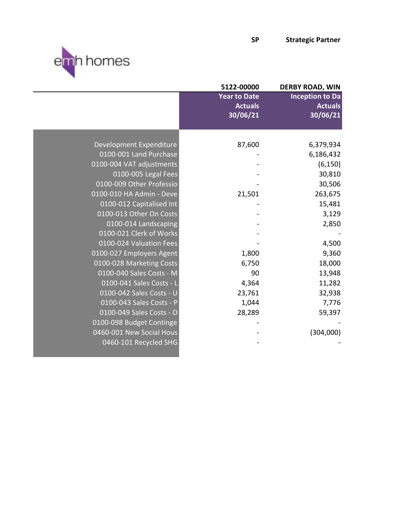



ı

|                          | 5122-00000                                        | <b>DERBY ROAD, WIN</b>                               |
|--------------------------|---------------------------------------------------|------------------------------------------------------|
|                          | <b>Year to Date</b><br><b>Actuals</b><br>30/06/21 | <b>Inception to Da</b><br><b>Actuals</b><br>30/06/21 |
|                          |                                                   |                                                      |
| Development Expenditure  | 87,600                                            | 6,379,934                                            |
| 0100-001 Land Purchase   |                                                   | 6,186,432                                            |
| 0100-004 VAT adjustments |                                                   | (6, 150)                                             |
| 0100-005 Legal Fees      |                                                   | 30,810                                               |
| 0100-009 Other Professio |                                                   | 30,506                                               |
| 0100-010 HA Admin - Deve | 21,501                                            | 263,675                                              |
| 0100-012 Capitalised Int |                                                   | 15,481                                               |
| 0100-013 Other On Costs  |                                                   | 3,129                                                |
| 0100-014 Landscaping     |                                                   | 2,850                                                |
| 0100-021 Clerk of Works  |                                                   |                                                      |
| 0100-024 Valuation Fees  |                                                   | 4,500                                                |
| 0100-027 Employers Agent | 1,800                                             | 9,360                                                |
| 0100-028 Marketing Costs | 6,750                                             | 18,000                                               |
| 0100-040 Sales Costs - M | 90                                                | 13,948                                               |
| 0100-041 Sales Costs - L | 4,364                                             | 11,282                                               |
| 0100-042 Sales Costs - U | 23,761                                            | 32,938                                               |
| 0100-043 Sales Costs - P | 1,044                                             | 7,776                                                |
| 0100-049 Sales Costs - O | 28,289                                            | 59,397                                               |
| 0100-098 Budget Continge |                                                   |                                                      |
| 0460-001 New Social Hous |                                                   | (304,000)                                            |
| 0460-101 Recycled SHG    |                                                   |                                                      |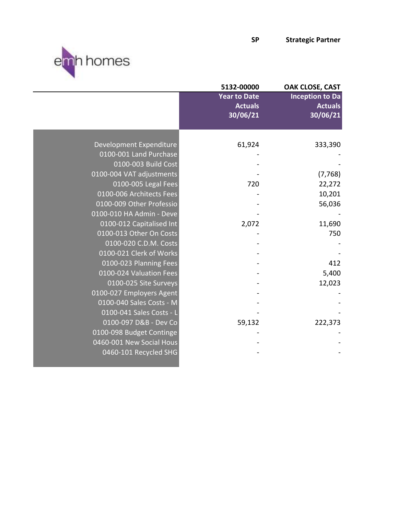

| 5132-00000          | OAK CLOSE, CAST            |
|---------------------|----------------------------|
| <b>Year to Date</b> | <b>Inception to Da</b>     |
|                     | <b>Actuals</b>             |
|                     | 30/06/21                   |
|                     |                            |
| 61,924              | 333,390                    |
|                     |                            |
|                     |                            |
|                     | (7, 768)                   |
| 720                 | 22,272                     |
|                     | 10,201                     |
|                     | 56,036                     |
|                     |                            |
| 2,072               | 11,690                     |
|                     | 750                        |
|                     |                            |
|                     |                            |
|                     | 412                        |
|                     | 5,400                      |
|                     | 12,023                     |
|                     |                            |
|                     |                            |
|                     |                            |
| 59,132              | 222,373                    |
|                     |                            |
|                     |                            |
|                     |                            |
|                     | <b>Actuals</b><br>30/06/21 |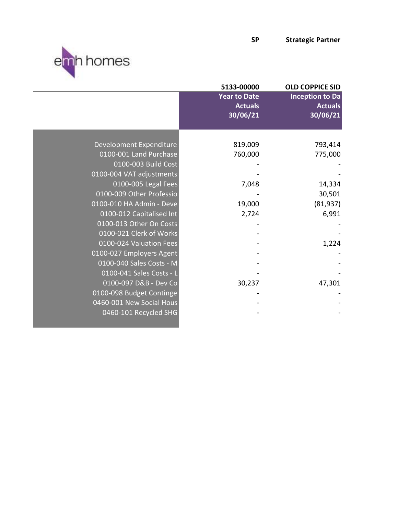



|                          | 5133-00000                                        | <b>OLD COPPICE SID</b>                               |
|--------------------------|---------------------------------------------------|------------------------------------------------------|
|                          | <b>Year to Date</b><br><b>Actuals</b><br>30/06/21 | <b>Inception to Da</b><br><b>Actuals</b><br>30/06/21 |
|                          |                                                   |                                                      |
| Development Expenditure  | 819,009                                           | 793,414                                              |
| 0100-001 Land Purchase   | 760,000                                           | 775,000                                              |
| 0100-003 Build Cost      |                                                   |                                                      |
| 0100-004 VAT adjustments |                                                   |                                                      |
| 0100-005 Legal Fees      | 7,048                                             | 14,334                                               |
| 0100-009 Other Professio |                                                   | 30,501                                               |
| 0100-010 HA Admin - Deve | 19,000                                            | (81, 937)                                            |
| 0100-012 Capitalised Int | 2,724                                             | 6,991                                                |
| 0100-013 Other On Costs  |                                                   |                                                      |
| 0100-021 Clerk of Works  |                                                   |                                                      |
| 0100-024 Valuation Fees  |                                                   | 1,224                                                |
| 0100-027 Employers Agent |                                                   |                                                      |
| 0100-040 Sales Costs - M |                                                   |                                                      |
| 0100-041 Sales Costs - L |                                                   |                                                      |
| 0100-097 D&B - Dev Co    | 30,237                                            | 47,301                                               |
| 0100-098 Budget Continge |                                                   |                                                      |
| 0460-001 New Social Hous |                                                   |                                                      |
| 0460-101 Recycled SHG    |                                                   |                                                      |
|                          |                                                   |                                                      |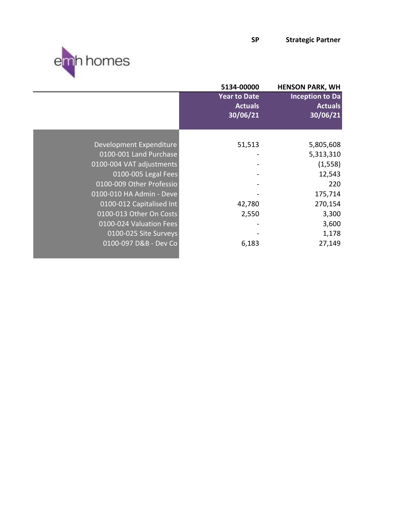

|                          | 5134-00000                                        | <b>HENSON PARK, WH</b>                               |
|--------------------------|---------------------------------------------------|------------------------------------------------------|
|                          | <b>Year to Date</b><br><b>Actuals</b><br>30/06/21 | <b>Inception to Da</b><br><b>Actuals</b><br>30/06/21 |
|                          |                                                   |                                                      |
| Development Expenditure  | 51,513                                            | 5,805,608                                            |
| 0100-001 Land Purchase   |                                                   | 5,313,310                                            |
| 0100-004 VAT adjustments |                                                   | (1, 558)                                             |
| 0100-005 Legal Fees      |                                                   | 12,543                                               |
| 0100-009 Other Professio |                                                   | 220                                                  |
| 0100-010 HA Admin - Deve |                                                   | 175,714                                              |
| 0100-012 Capitalised Int | 42,780                                            | 270,154                                              |
| 0100-013 Other On Costs  | 2,550                                             | 3,300                                                |
| 0100-024 Valuation Fees  |                                                   | 3,600                                                |
| 0100-025 Site Surveys    |                                                   | 1,178                                                |
| 0100-097 D&B - Dev Co    | 6,183                                             | 27,149                                               |
|                          |                                                   |                                                      |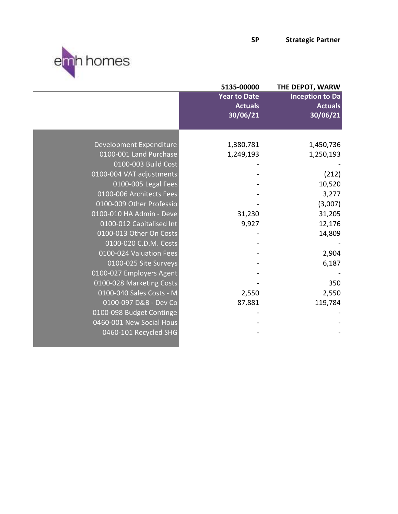



|                          | 5135-00000                                        | THE DEPOT, WARW                                      |
|--------------------------|---------------------------------------------------|------------------------------------------------------|
|                          | <b>Year to Date</b><br><b>Actuals</b><br>30/06/21 | <b>Inception to Da</b><br><b>Actuals</b><br>30/06/21 |
|                          |                                                   |                                                      |
| Development Expenditure  | 1,380,781                                         | 1,450,736                                            |
| 0100-001 Land Purchase   | 1,249,193                                         | 1,250,193                                            |
| 0100-003 Build Cost      |                                                   |                                                      |
| 0100-004 VAT adjustments |                                                   | (212)                                                |
| 0100-005 Legal Fees      |                                                   | 10,520                                               |
| 0100-006 Architects Fees |                                                   | 3,277                                                |
| 0100-009 Other Professio |                                                   | (3,007)                                              |
| 0100-010 HA Admin - Deve | 31,230                                            | 31,205                                               |
| 0100-012 Capitalised Int | 9,927                                             | 12,176                                               |
| 0100-013 Other On Costs  |                                                   | 14,809                                               |
| 0100-020 C.D.M. Costs    |                                                   |                                                      |
| 0100-024 Valuation Fees  |                                                   | 2,904                                                |
| 0100-025 Site Surveys    |                                                   | 6,187                                                |
| 0100-027 Employers Agent |                                                   |                                                      |
| 0100-028 Marketing Costs |                                                   | 350                                                  |
| 0100-040 Sales Costs - M | 2,550                                             | 2,550                                                |
| 0100-097 D&B - Dev Co    | 87,881                                            | 119,784                                              |
| 0100-098 Budget Continge |                                                   |                                                      |
| 0460-001 New Social Hous |                                                   |                                                      |
| 0460-101 Recycled SHG    |                                                   |                                                      |
|                          |                                                   |                                                      |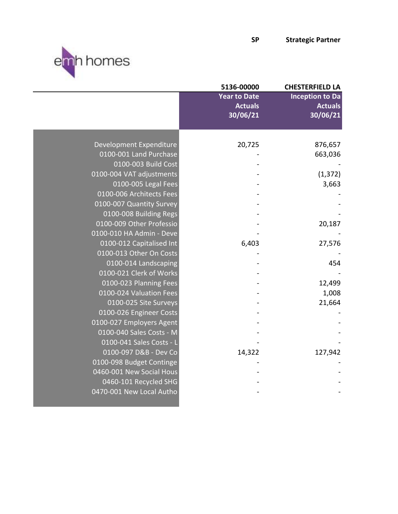



|                          | 5136-00000          | <b>CHESTERFIELD LA</b> |
|--------------------------|---------------------|------------------------|
|                          | <b>Year to Date</b> | <b>Inception to Da</b> |
|                          | <b>Actuals</b>      | <b>Actuals</b>         |
|                          | 30/06/21            | 30/06/21               |
|                          |                     |                        |
| Development Expenditure  | 20,725              | 876,657                |
| 0100-001 Land Purchase   |                     | 663,036                |
| 0100-003 Build Cost      |                     |                        |
| 0100-004 VAT adjustments |                     | (1, 372)               |
| 0100-005 Legal Fees      |                     | 3,663                  |
| 0100-006 Architects Fees |                     |                        |
| 0100-007 Quantity Survey |                     |                        |
| 0100-008 Building Regs   |                     |                        |
| 0100-009 Other Professio |                     | 20,187                 |
| 0100-010 HA Admin - Deve |                     |                        |
| 0100-012 Capitalised Int | 6,403               | 27,576                 |
| 0100-013 Other On Costs  |                     |                        |
| 0100-014 Landscaping     |                     | 454                    |
| 0100-021 Clerk of Works  |                     |                        |
| 0100-023 Planning Fees   |                     | 12,499                 |
| 0100-024 Valuation Fees  |                     | 1,008                  |
| 0100-025 Site Surveys    |                     | 21,664                 |
| 0100-026 Engineer Costs  |                     |                        |
| 0100-027 Employers Agent |                     |                        |
| 0100-040 Sales Costs - M |                     |                        |
| 0100-041 Sales Costs - L |                     |                        |
| 0100-097 D&B - Dev Co    | 14,322              | 127,942                |
| 0100-098 Budget Continge |                     |                        |
| 0460-001 New Social Hous |                     |                        |
| 0460-101 Recycled SHG    |                     |                        |
| 0470-001 New Local Autho |                     |                        |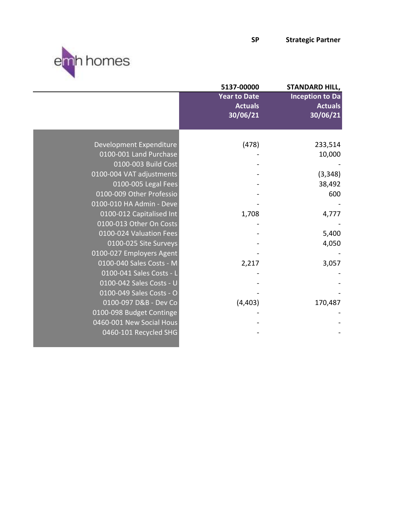

|                          | 5137-00000                                        | <b>STANDARD HILL,</b>                                |
|--------------------------|---------------------------------------------------|------------------------------------------------------|
|                          | <b>Year to Date</b><br><b>Actuals</b><br>30/06/21 | <b>Inception to Da</b><br><b>Actuals</b><br>30/06/21 |
|                          |                                                   |                                                      |
| Development Expenditure  | (478)                                             | 233,514                                              |
| 0100-001 Land Purchase   |                                                   | 10,000                                               |
| 0100-003 Build Cost      |                                                   |                                                      |
| 0100-004 VAT adjustments |                                                   | (3, 348)                                             |
| 0100-005 Legal Fees      |                                                   | 38,492                                               |
| 0100-009 Other Professio |                                                   | 600                                                  |
| 0100-010 HA Admin - Deve |                                                   |                                                      |
| 0100-012 Capitalised Int | 1,708                                             | 4,777                                                |
| 0100-013 Other On Costs  |                                                   |                                                      |
| 0100-024 Valuation Fees  |                                                   | 5,400                                                |
| 0100-025 Site Surveys    |                                                   | 4,050                                                |
| 0100-027 Employers Agent |                                                   |                                                      |
| 0100-040 Sales Costs - M | 2,217                                             | 3,057                                                |
| 0100-041 Sales Costs - L |                                                   |                                                      |
| 0100-042 Sales Costs - U |                                                   |                                                      |
| 0100-049 Sales Costs - O |                                                   |                                                      |
| 0100-097 D&B - Dev Co    | (4, 403)                                          | 170,487                                              |
| 0100-098 Budget Continge |                                                   |                                                      |
| 0460-001 New Social Hous |                                                   |                                                      |
| 0460-101 Recycled SHG    |                                                   |                                                      |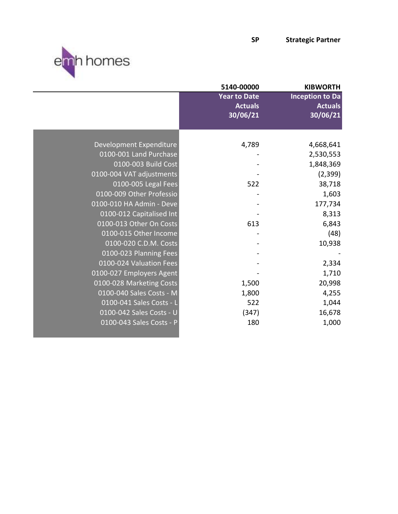



|                          | 5140-00000          | <b>KIBWORTH</b>        |
|--------------------------|---------------------|------------------------|
|                          | <b>Year to Date</b> | <b>Inception to Da</b> |
|                          | <b>Actuals</b>      | <b>Actuals</b>         |
|                          | 30/06/21            | 30/06/21               |
|                          |                     |                        |
|                          |                     |                        |
| Development Expenditure  | 4,789               | 4,668,641              |
| 0100-001 Land Purchase   |                     | 2,530,553              |
| 0100-003 Build Cost      |                     | 1,848,369              |
| 0100-004 VAT adjustments |                     | (2, 399)               |
| 0100-005 Legal Fees      | 522                 | 38,718                 |
| 0100-009 Other Professio |                     | 1,603                  |
| 0100-010 HA Admin - Deve |                     | 177,734                |
| 0100-012 Capitalised Int |                     | 8,313                  |
| 0100-013 Other On Costs  | 613                 | 6,843                  |
| 0100-015 Other Income    |                     | (48)                   |
| 0100-020 C.D.M. Costs    |                     | 10,938                 |
| 0100-023 Planning Fees   |                     |                        |
| 0100-024 Valuation Fees  |                     | 2,334                  |
| 0100-027 Employers Agent |                     | 1,710                  |
| 0100-028 Marketing Costs | 1,500               | 20,998                 |
| 0100-040 Sales Costs - M | 1,800               | 4,255                  |
| 0100-041 Sales Costs - L | 522                 | 1,044                  |
| 0100-042 Sales Costs - U | (347)               | 16,678                 |
| 0100-043 Sales Costs - P | 180                 | 1,000                  |
|                          |                     |                        |
|                          |                     |                        |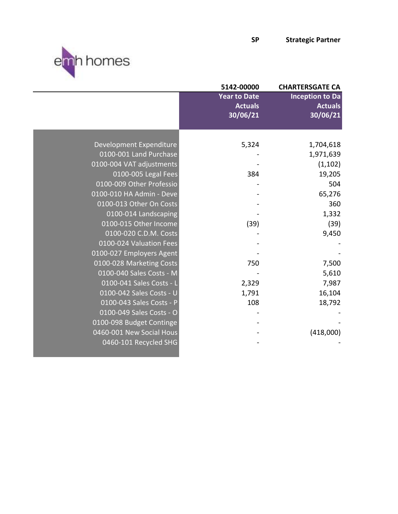



ı

|                          | 5142-00000                                        | <b>CHARTERSGATE CA</b>                               |
|--------------------------|---------------------------------------------------|------------------------------------------------------|
|                          | <b>Year to Date</b><br><b>Actuals</b><br>30/06/21 | <b>Inception to Da</b><br><b>Actuals</b><br>30/06/21 |
|                          |                                                   |                                                      |
| Development Expenditure  | 5,324                                             | 1,704,618                                            |
| 0100-001 Land Purchase   |                                                   | 1,971,639                                            |
| 0100-004 VAT adjustments |                                                   | (1, 102)                                             |
| 0100-005 Legal Fees      | 384                                               | 19,205                                               |
| 0100-009 Other Professio |                                                   | 504                                                  |
| 0100-010 HA Admin - Deve |                                                   | 65,276                                               |
| 0100-013 Other On Costs  |                                                   | 360                                                  |
| 0100-014 Landscaping     |                                                   | 1,332                                                |
| 0100-015 Other Income    | (39)                                              | (39)                                                 |
| 0100-020 C.D.M. Costs    |                                                   | 9,450                                                |
| 0100-024 Valuation Fees  |                                                   |                                                      |
| 0100-027 Employers Agent |                                                   |                                                      |
| 0100-028 Marketing Costs | 750                                               | 7,500                                                |
| 0100-040 Sales Costs - M |                                                   | 5,610                                                |
| 0100-041 Sales Costs - L | 2,329                                             | 7,987                                                |
| 0100-042 Sales Costs - U | 1,791                                             | 16,104                                               |
| 0100-043 Sales Costs - P | 108                                               | 18,792                                               |
| 0100-049 Sales Costs - O |                                                   |                                                      |
| 0100-098 Budget Continge |                                                   |                                                      |
| 0460-001 New Social Hous |                                                   | (418,000)                                            |
| 0460-101 Recycled SHG    |                                                   |                                                      |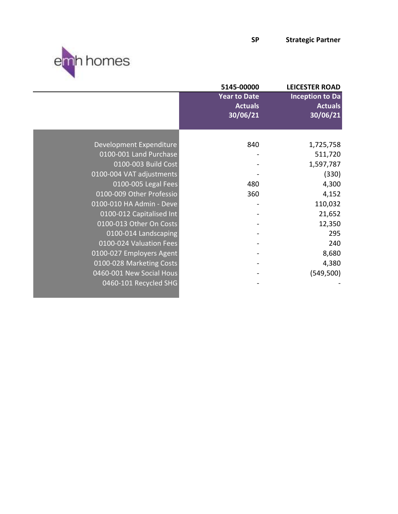



|                          | 5145-00000          | <b>LEICESTER ROAD</b>  |
|--------------------------|---------------------|------------------------|
|                          | <b>Year to Date</b> | <b>Inception to Da</b> |
|                          | <b>Actuals</b>      | <b>Actuals</b>         |
|                          | 30/06/21            | 30/06/21               |
|                          |                     |                        |
|                          |                     |                        |
| Development Expenditure  | 840                 | 1,725,758              |
| 0100-001 Land Purchase   |                     | 511,720                |
| 0100-003 Build Cost      |                     | 1,597,787              |
| 0100-004 VAT adjustments |                     | (330)                  |
| 0100-005 Legal Fees      | 480                 | 4,300                  |
| 0100-009 Other Professio | 360                 | 4,152                  |
| 0100-010 HA Admin - Deve |                     | 110,032                |
| 0100-012 Capitalised Int |                     | 21,652                 |
| 0100-013 Other On Costs  |                     | 12,350                 |
| 0100-014 Landscaping     |                     | 295                    |
| 0100-024 Valuation Fees  |                     | 240                    |
| 0100-027 Employers Agent |                     | 8,680                  |
| 0100-028 Marketing Costs |                     | 4,380                  |
| 0460-001 New Social Hous |                     | (549, 500)             |
| 0460-101 Recycled SHG    |                     |                        |
|                          |                     |                        |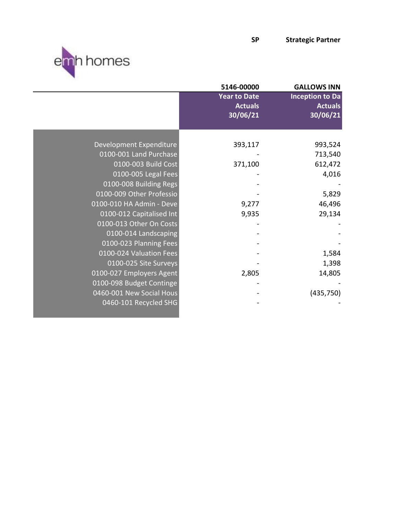



|                          | 5146-00000                                        | <b>GALLOWS INN</b>                                   |
|--------------------------|---------------------------------------------------|------------------------------------------------------|
|                          | <b>Year to Date</b><br><b>Actuals</b><br>30/06/21 | <b>Inception to Da</b><br><b>Actuals</b><br>30/06/21 |
|                          |                                                   |                                                      |
| Development Expenditure  | 393,117                                           | 993,524                                              |
| 0100-001 Land Purchase   |                                                   | 713,540                                              |
| 0100-003 Build Cost      | 371,100                                           | 612,472                                              |
| 0100-005 Legal Fees      |                                                   | 4,016                                                |
| 0100-008 Building Regs   |                                                   |                                                      |
| 0100-009 Other Professio |                                                   | 5,829                                                |
| 0100-010 HA Admin - Deve | 9,277                                             | 46,496                                               |
| 0100-012 Capitalised Int | 9,935                                             | 29,134                                               |
| 0100-013 Other On Costs  |                                                   |                                                      |
| 0100-014 Landscaping     |                                                   |                                                      |
| 0100-023 Planning Fees   |                                                   |                                                      |
| 0100-024 Valuation Fees  |                                                   | 1,584                                                |
| 0100-025 Site Surveys    |                                                   | 1,398                                                |
| 0100-027 Employers Agent | 2,805                                             | 14,805                                               |
| 0100-098 Budget Continge |                                                   |                                                      |
| 0460-001 New Social Hous |                                                   | (435, 750)                                           |
| 0460-101 Recycled SHG    |                                                   |                                                      |
|                          |                                                   |                                                      |
|                          |                                                   |                                                      |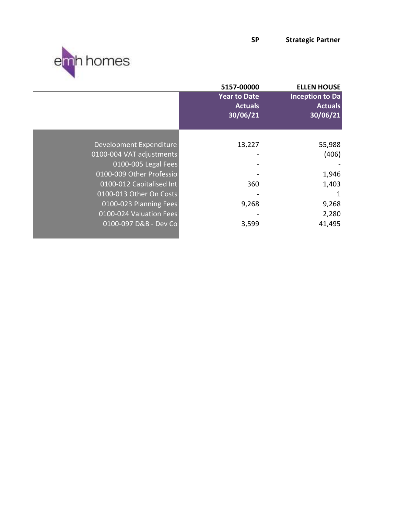SP Strategic Partner



| 5157-00000                                               | <b>ELLEN HOUSE</b>                                   |
|----------------------------------------------------------|------------------------------------------------------|
| <b>Year to Date</b><br><b>Actuals</b><br>30/06/21        | <b>Inception to Da</b><br><b>Actuals</b><br>30/06/21 |
|                                                          |                                                      |
| Development Expenditure<br>13,227                        | 55,988                                               |
| 0100-004 VAT adjustments<br>$\qquad \qquad \blacksquare$ | (406)                                                |
| 0100-005 Legal Fees                                      |                                                      |
| 0100-009 Other Professio                                 | 1,946                                                |
| 0100-012 Capitalised Int<br>360                          | 1,403                                                |
| 0100-013 Other On Costs                                  | 1                                                    |
| 0100-023 Planning Fees<br>9,268                          | 9,268                                                |
| 0100-024 Valuation Fees                                  | 2,280                                                |
| 0100-097 D&B - Dev Co<br>3,599                           | 41,495                                               |
|                                                          |                                                      |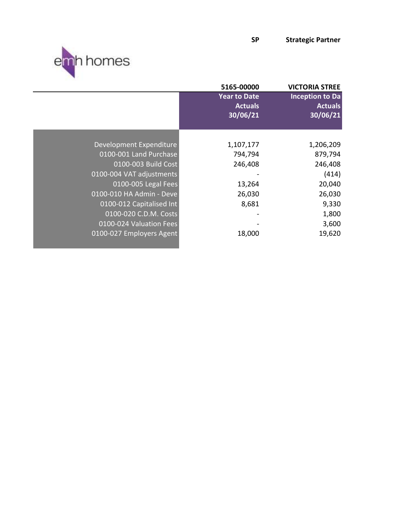SP Strategic Partner



| 5165-00000                            | <b>VICTORIA STREE</b>                            |
|---------------------------------------|--------------------------------------------------|
| <b>Year to Date</b><br><b>Actuals</b> | <b>Inception to Da</b><br><b>Actuals</b>         |
|                                       | 30/06/21                                         |
|                                       |                                                  |
|                                       | 1,206,209                                        |
| 0100-001 Land Purchase<br>794,794     | 879,794                                          |
| 0100-003 Build Cost<br>246,408        | 246,408                                          |
| 0100-004 VAT adjustments              | (414)                                            |
| 0100-005 Legal Fees<br>13,264         | 20,040                                           |
| 0100-010 HA Admin - Deve<br>26,030    | 26,030                                           |
| 0100-012 Capitalised Int<br>8,681     | 9,330                                            |
| 0100-020 C.D.M. Costs                 | 1,800                                            |
| 0100-024 Valuation Fees               | 3,600                                            |
| 0100-027 Employers Agent<br>18,000    | 19,620                                           |
|                                       | 30/06/21<br>Development Expenditure<br>1,107,177 |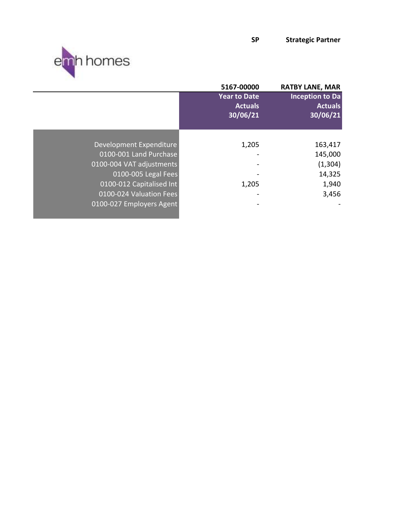

|                          | 5167-00000          | <b>RATBY LANE, MAR</b> |
|--------------------------|---------------------|------------------------|
|                          | <b>Year to Date</b> | <b>Inception to Da</b> |
|                          | <b>Actuals</b>      | <b>Actuals</b>         |
|                          | 30/06/21            | 30/06/21               |
|                          |                     |                        |
|                          |                     |                        |
| Development Expenditure  | 1,205               | 163,417                |
| 0100-001 Land Purchase   |                     | 145,000                |
| 0100-004 VAT adjustments |                     | (1, 304)               |
| 0100-005 Legal Fees      |                     | 14,325                 |
| 0100-012 Capitalised Int | 1,205               | 1,940                  |
| 0100-024 Valuation Fees  |                     | 3,456                  |
| 0100-027 Employers Agent |                     |                        |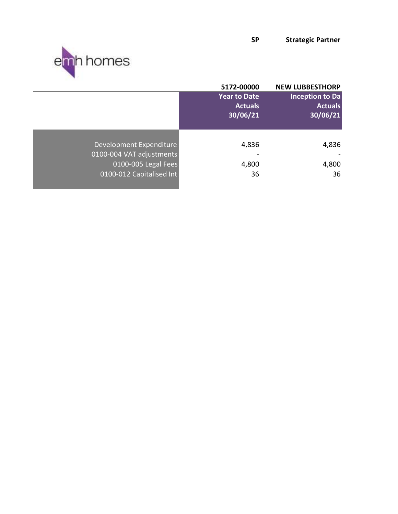

|                                                                                                        | 5172-00000                                        | <b>NEW LUBBESTHORP</b>                               |
|--------------------------------------------------------------------------------------------------------|---------------------------------------------------|------------------------------------------------------|
|                                                                                                        | <b>Year to Date</b><br><b>Actuals</b><br>30/06/21 | <b>Inception to Da</b><br><b>Actuals</b><br>30/06/21 |
| Development Expenditure<br>0100-004 VAT adjustments<br>0100-005 Legal Fees<br>0100-012 Capitalised Int | 4,836<br>4,800<br>36                              | 4,836<br>4,800<br>36                                 |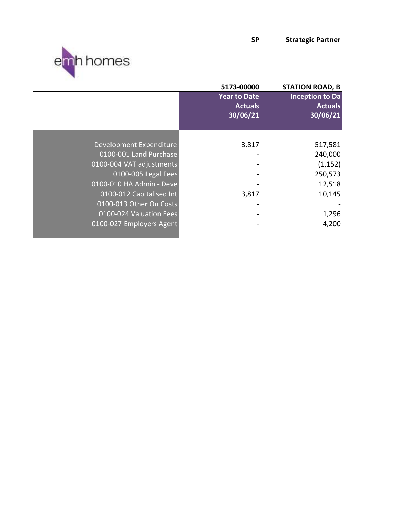

|                          | 5173-00000                                        | <b>STATION ROAD, B</b>                               |
|--------------------------|---------------------------------------------------|------------------------------------------------------|
|                          | <b>Year to Date</b><br><b>Actuals</b><br>30/06/21 | <b>Inception to Da</b><br><b>Actuals</b><br>30/06/21 |
|                          |                                                   |                                                      |
| Development Expenditure  | 3,817                                             | 517,581                                              |
| 0100-001 Land Purchase   |                                                   | 240,000                                              |
| 0100-004 VAT adjustments |                                                   | (1, 152)                                             |
| 0100-005 Legal Fees      |                                                   | 250,573                                              |
| 0100-010 HA Admin - Deve |                                                   | 12,518                                               |
| 0100-012 Capitalised Int | 3,817                                             | 10,145                                               |
| 0100-013 Other On Costs  |                                                   |                                                      |
| 0100-024 Valuation Fees  |                                                   | 1,296                                                |
| 0100-027 Employers Agent |                                                   | 4,200                                                |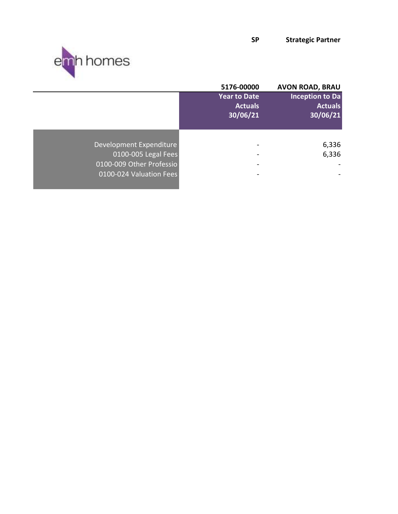

|                          | 5176-00000                   | <b>AVON ROAD, BRAU</b> |
|--------------------------|------------------------------|------------------------|
|                          | <b>Year to Date</b>          | <b>Inception to Da</b> |
|                          | <b>Actuals</b>               | <b>Actuals</b>         |
|                          | 30/06/21                     | 30/06/21               |
|                          |                              |                        |
|                          |                              |                        |
| Development Expenditure  | $\qquad \qquad \blacksquare$ | 6,336                  |
| 0100-005 Legal Fees      |                              | 6,336                  |
| 0100-009 Other Professio |                              |                        |
| 0100-024 Valuation Fees  |                              |                        |
|                          |                              |                        |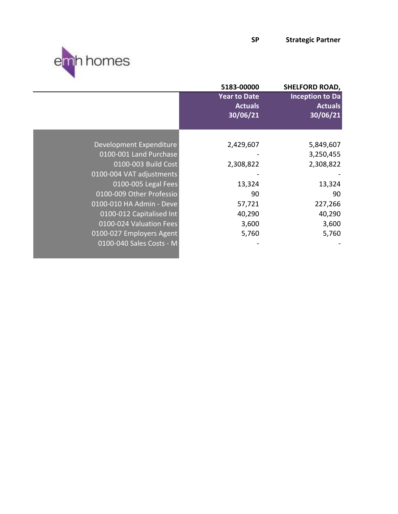

|                          | 5183-00000                                        | <b>SHELFORD ROAD,</b>                                |
|--------------------------|---------------------------------------------------|------------------------------------------------------|
|                          | <b>Year to Date</b><br><b>Actuals</b><br>30/06/21 | <b>Inception to Da</b><br><b>Actuals</b><br>30/06/21 |
|                          |                                                   |                                                      |
| Development Expenditure  | 2,429,607                                         | 5,849,607                                            |
| 0100-001 Land Purchase   |                                                   | 3,250,455                                            |
| 0100-003 Build Cost      | 2,308,822                                         | 2,308,822                                            |
| 0100-004 VAT adjustments |                                                   |                                                      |
| 0100-005 Legal Fees      | 13,324                                            | 13,324                                               |
| 0100-009 Other Professio | 90                                                | 90                                                   |
| 0100-010 HA Admin - Deve | 57,721                                            | 227,266                                              |
| 0100-012 Capitalised Int | 40,290                                            | 40,290                                               |
| 0100-024 Valuation Fees  | 3,600                                             | 3,600                                                |
| 0100-027 Employers Agent | 5,760                                             | 5,760                                                |
| 0100-040 Sales Costs - M |                                                   |                                                      |